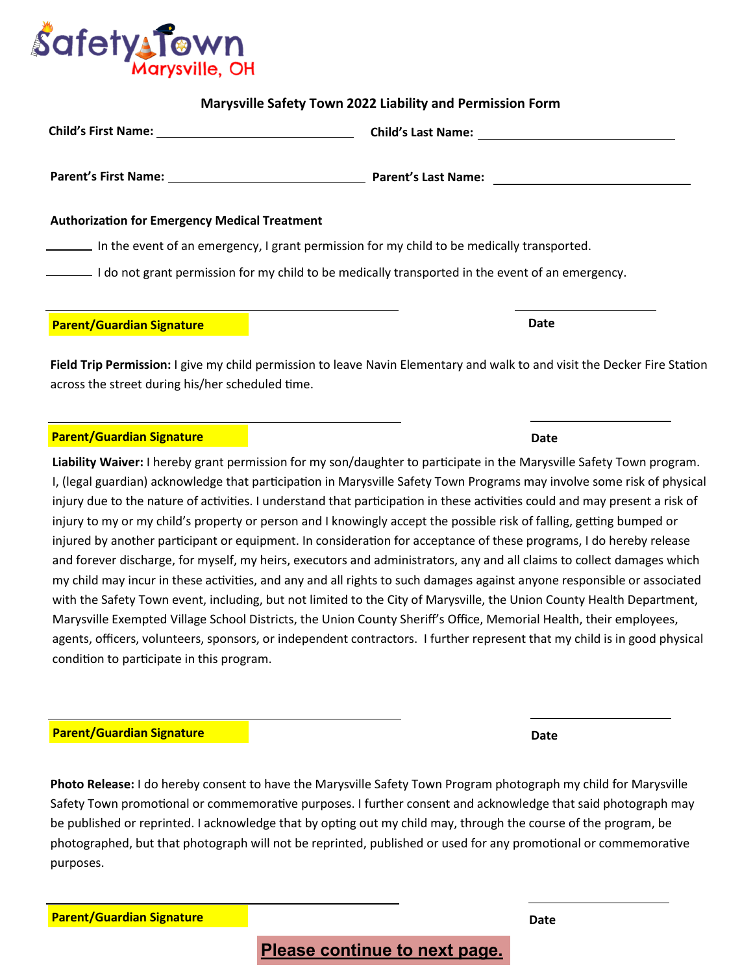**Please continue to next page.**

**Marysville Safety Town 2022 Liability and Permission Form**

|                                                                                                  | Child's Last Name: <u>____________________________</u> |
|--------------------------------------------------------------------------------------------------|--------------------------------------------------------|
|                                                                                                  |                                                        |
| <b>Authorization for Emergency Medical Treatment</b>                                             |                                                        |
| In the event of an emergency, I grant permission for my child to be medically transported.       |                                                        |
| I do not grant permission for my child to be medically transported in the event of an emergency. |                                                        |
|                                                                                                  |                                                        |

**Field Trip Permission:** I give my child permission to leave Navin Elementary and walk to and visit the Decker Fire Station across the street during his/her scheduled time.

**Parent/Guardian Signature Date** 

## **Parent/Guardian Signature**

**Liability Waiver:** I hereby grant permission for my son/daughter to participate in the Marysville Safety Town program. I, (legal guardian) acknowledge that participation in Marysville Safety Town Programs may involve some risk of physical injury due to the nature of activities. I understand that participation in these activities could and may present a risk of injury to my or my child's property or person and I knowingly accept the possible risk of falling, getting bumped or injured by another participant or equipment. In consideration for acceptance of these programs, I do hereby release and forever discharge, for myself, my heirs, executors and administrators, any and all claims to collect damages which my child may incur in these activities, and any and all rights to such damages against anyone responsible or associated with the Safety Town event, including, but not limited to the City of Marysville, the Union County Health Department, Marysville Exempted Village School Districts, the Union County Sheriff's Office, Memorial Health, their employees, agents, officers, volunteers, sponsors, or independent contractors. I further represent that my child is in good physical condition to participate in this program.

## **Parent/Guardian Signature**

**Photo Release:** I do hereby consent to have the Marysville Safety Town Program photograph my child for Marysville Safety Town promotional or commemorative purposes. I further consent and acknowledge that said photograph may be published or reprinted. I acknowledge that by opting out my child may, through the course of the program, be photographed, but that photograph will not be reprinted, published or used for any promotional or commemorative purposes.

**Parent/Guardian Signature**

**Date**



**Date**

**Date**